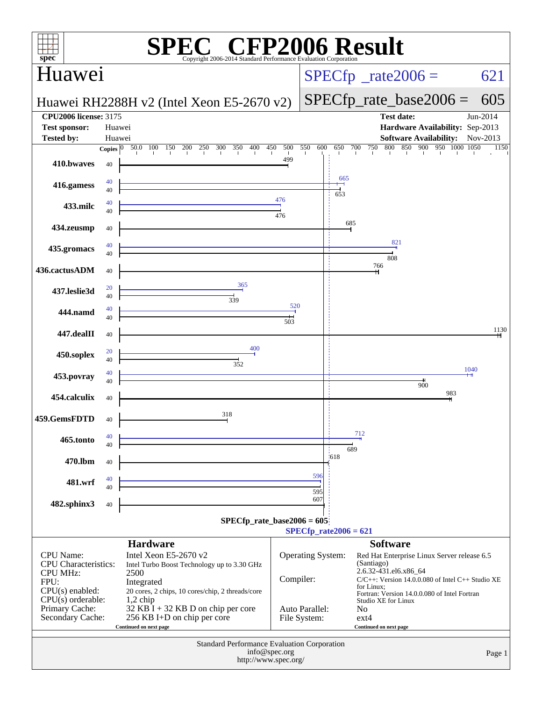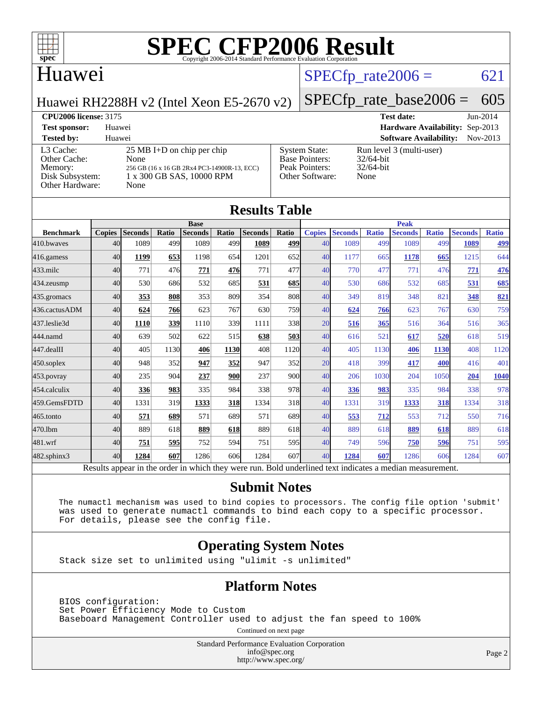

### Huawei

#### $SPECTp_rate2006 = 621$

Huawei RH2288H v2 (Intel Xeon E5-2670 v2)

## [SPECfp\\_rate\\_base2006 =](http://www.spec.org/auto/cpu2006/Docs/result-fields.html#SPECfpratebase2006) 605

**[CPU2006 license:](http://www.spec.org/auto/cpu2006/Docs/result-fields.html#CPU2006license)** 3175 **[Test date:](http://www.spec.org/auto/cpu2006/Docs/result-fields.html#Testdate)** Jun-2014 **[Test sponsor:](http://www.spec.org/auto/cpu2006/Docs/result-fields.html#Testsponsor)** Huawei **[Hardware Availability:](http://www.spec.org/auto/cpu2006/Docs/result-fields.html#HardwareAvailability)** Sep-2013

| <b>Tested by:</b>                                                          | Huawei                                                                                                                           | <b>Software Availability:</b>                                                      | Nov-2013                                                         |  |
|----------------------------------------------------------------------------|----------------------------------------------------------------------------------------------------------------------------------|------------------------------------------------------------------------------------|------------------------------------------------------------------|--|
| L3 Cache:<br>Other Cache:<br>Memory:<br>Disk Subsystem:<br>Other Hardware: | $25 \text{ MB I+D}$ on chip per chip<br>None<br>256 GB (16 x 16 GB 2Rx4 PC3-14900R-13, ECC)<br>1 x 300 GB SAS, 10000 RPM<br>None | <b>System State:</b><br><b>Base Pointers:</b><br>Peak Pointers:<br>Other Software: | Run level 3 (multi-user)<br>$32/64$ -bit<br>$32/64$ -bit<br>None |  |

|                  | <b>Base</b>   |                |       |                |       |                | <b>Peak</b> |               |                |              |                |              |                |              |
|------------------|---------------|----------------|-------|----------------|-------|----------------|-------------|---------------|----------------|--------------|----------------|--------------|----------------|--------------|
| <b>Benchmark</b> | <b>Copies</b> | <b>Seconds</b> | Ratio | <b>Seconds</b> | Ratio | <b>Seconds</b> | Ratio       | <b>Copies</b> | <b>Seconds</b> | <b>Ratio</b> | <b>Seconds</b> | <b>Ratio</b> | <b>Seconds</b> | <b>Ratio</b> |
| 410.bwayes       | 40            | 1089           | 499   | 1089           | 499   | 1089           | 499         | 40            | 1089           | 499          | 1089           | 499          | 1089           | 499          |
| 416.gamess       | 40            | 1199           | 653   | 1198           | 654   | 1201           | 652         | 40            | 1177           | 665          | 1178           | 665          | 1215           | 644          |
| $433$ .milc      | 40            | 771            | 476   | 771            | 476   | 771            | 477         | 40            | 770            | 477          | 771            | 476          | 771            | 476          |
| $434$ . zeusmp   | 40            | 530            | 686   | 532            | 685   | 531            | 685         | 40            | 530            | 686          | 532            | 685          | 531            | 685          |
| 435.gromacs      | 40            | 353            | 808   | 353            | 809   | 354            | 808         | 40            | 349            | 819          | 348            | 821          | 348            | 821          |
| 436.cactusADM    | 40            | 624            | 766   | 623            | 767   | 630            | 759         | 40            | 624            | 766          | 623            | 767          | 630            | 759          |
| 437.leslie3d     | 40            | 1110           | 339   | 1110           | 339   | 1111           | 338         | 20            | 516            | 365          | 516            | 364          | 516            | 365          |
| 444.namd         | 40            | 639            | 502   | 622            | 515   | 638            | 503         | 40            | 616            | 521          | 617            | 520          | 618            | 519          |
| 447.dealII       | 40            | 405            | 1130  | 406            | 1130  | 408            | 1120        | 40            | 405            | 1130         | 406            | 1130         | 408            | 1120         |
| $450$ .soplex    | 40            | 948            | 352   | 947            | 352   | 947            | 352         | 20            | 418            | 399          | 417            | 400          | 416            | 401          |
| 453.povray       | 40            | 235            | 904   | 237            | 900   | 237            | 900l        | 40            | 206            | 1030         | 204            | 1050         | 204            | 1040         |
| 454.calculix     | 40            | 336            | 983   | 335            | 984   | 338            | 978         | 40            | 336            | 983          | 335            | 984          | 338            | 978          |
| 459.GemsFDTD     | 40            | 1331           | 319   | 1333           | 318   | 1334           | 318         | 40            | 1331           | 319          | 1333           | 318          | 1334           | 318          |
| 465.tonto        | 40            | 571            | 689   | 571            | 689   | 571            | 689         | 40            | 553            | 712          | 553            | 712          | 550            | 716          |
| 470.1bm          | 40            | 889            | 618   | 889            | 618   | 889            | 618         | 40            | 889            | 618          | 889            | 618          | 889            | 618          |
| 481.wrf          | 40            | 751            | 595   | 752            | 594   | 751            | 595         | 40            | 749            | 596          | 750            | 596          | 751            | 595          |
| 482.sphinx3      | 40            | 1284           | 607   | 1286           | 606   | 1284           | 607         | 40            | 1284           | 607          | 1286           | 606          | 1284           | 607          |

#### **[Submit Notes](http://www.spec.org/auto/cpu2006/Docs/result-fields.html#SubmitNotes)**

 The numactl mechanism was used to bind copies to processors. The config file option 'submit' was used to generate numactl commands to bind each copy to a specific processor. For details, please see the config file.

#### **[Operating System Notes](http://www.spec.org/auto/cpu2006/Docs/result-fields.html#OperatingSystemNotes)**

Stack size set to unlimited using "ulimit -s unlimited"

#### **[Platform Notes](http://www.spec.org/auto/cpu2006/Docs/result-fields.html#PlatformNotes)**

 BIOS configuration: Set Power Efficiency Mode to Custom Baseboard Management Controller used to adjust the fan speed to 100%

Continued on next page

Standard Performance Evaluation Corporation [info@spec.org](mailto:info@spec.org) <http://www.spec.org/>

Page 2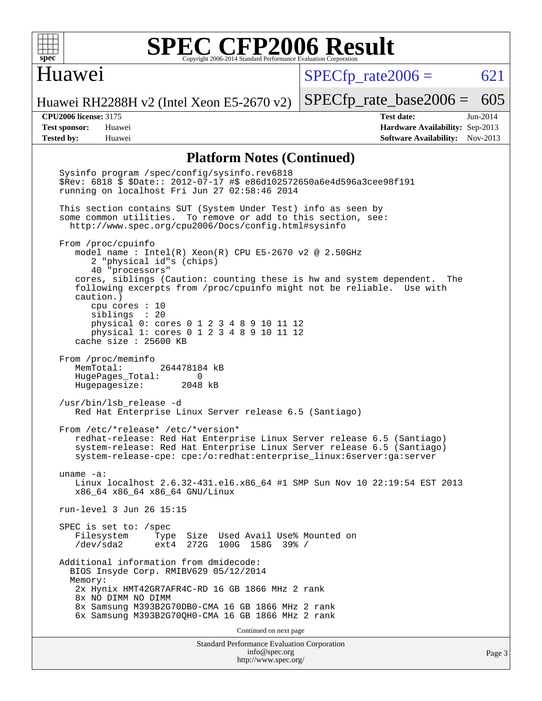

#### Huawei

 $SPECTp\_rate2006 = 621$ 

Huawei RH2288H v2 (Intel Xeon E5-2670 v2)

**[Tested by:](http://www.spec.org/auto/cpu2006/Docs/result-fields.html#Testedby)** Huawei **[Software Availability:](http://www.spec.org/auto/cpu2006/Docs/result-fields.html#SoftwareAvailability)** Nov-2013

**[CPU2006 license:](http://www.spec.org/auto/cpu2006/Docs/result-fields.html#CPU2006license)** 3175 **[Test date:](http://www.spec.org/auto/cpu2006/Docs/result-fields.html#Testdate)** Jun-2014 **[Test sponsor:](http://www.spec.org/auto/cpu2006/Docs/result-fields.html#Testsponsor)** Huawei **[Hardware Availability:](http://www.spec.org/auto/cpu2006/Docs/result-fields.html#HardwareAvailability)** Sep-2013

[SPECfp\\_rate\\_base2006 =](http://www.spec.org/auto/cpu2006/Docs/result-fields.html#SPECfpratebase2006) 605

#### **[Platform Notes \(Continued\)](http://www.spec.org/auto/cpu2006/Docs/result-fields.html#PlatformNotes)**

Standard Performance Evaluation Corporation [info@spec.org](mailto:info@spec.org) Sysinfo program /spec/config/sysinfo.rev6818 \$Rev: 6818 \$ \$Date:: 2012-07-17 #\$ e86d102572650a6e4d596a3cee98f191 running on localhost Fri Jun 27 02:58:46 2014 This section contains SUT (System Under Test) info as seen by some common utilities. To remove or add to this section, see: <http://www.spec.org/cpu2006/Docs/config.html#sysinfo> From /proc/cpuinfo model name : Intel(R) Xeon(R) CPU E5-2670 v2 @ 2.50GHz 2 "physical id"s (chips) 40 "processors" cores, siblings (Caution: counting these is hw and system dependent. The following excerpts from /proc/cpuinfo might not be reliable. Use with caution.) cpu cores : 10 siblings : 20 physical 0: cores 0 1 2 3 4 8 9 10 11 12 physical 1: cores 0 1 2 3 4 8 9 10 11 12 cache size : 25600 KB From /proc/meminfo<br>MemTotal: 264478184 kB HugePages\_Total: 0<br>Hugepagesize: 2048 kB Hugepagesize: /usr/bin/lsb\_release -d Red Hat Enterprise Linux Server release 6.5 (Santiago) From /etc/\*release\* /etc/\*version\* redhat-release: Red Hat Enterprise Linux Server release 6.5 (Santiago) system-release: Red Hat Enterprise Linux Server release 6.5 (Santiago) system-release-cpe: cpe:/o:redhat:enterprise\_linux:6server:ga:server uname -a: Linux localhost 2.6.32-431.el6.x86\_64 #1 SMP Sun Nov 10 22:19:54 EST 2013 x86\_64 x86\_64 x86\_64 GNU/Linux run-level 3 Jun 26 15:15 SPEC is set to: /spec Filesystem Type Size Used Avail Use% Mounted on /dev/sda2 ext4 272G 100G 158G 39% / Additional information from dmidecode: BIOS Insyde Corp. RMIBV629 05/12/2014 Memory: 2x Hynix HMT42GR7AFR4C-RD 16 GB 1866 MHz 2 rank 8x NO DIMM NO DIMM 8x Samsung M393B2G70DB0-CMA 16 GB 1866 MHz 2 rank 6x Samsung M393B2G70QH0-CMA 16 GB 1866 MHz 2 rank Continued on next page

<http://www.spec.org/>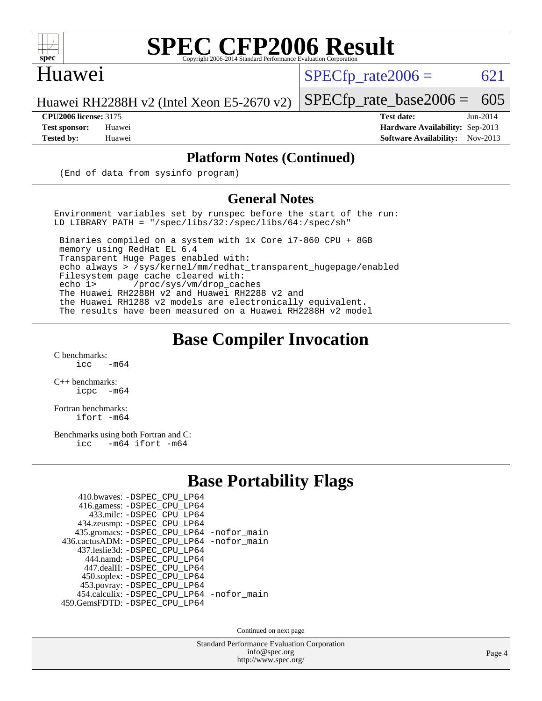

#### Huawei

 $SPECTp\_rate2006 = 621$ 

Huawei RH2288H v2 (Intel Xeon E5-2670 v2)

[SPECfp\\_rate\\_base2006 =](http://www.spec.org/auto/cpu2006/Docs/result-fields.html#SPECfpratebase2006) 605 **[CPU2006 license:](http://www.spec.org/auto/cpu2006/Docs/result-fields.html#CPU2006license)** 3175 **[Test date:](http://www.spec.org/auto/cpu2006/Docs/result-fields.html#Testdate)** Jun-2014

**[Test sponsor:](http://www.spec.org/auto/cpu2006/Docs/result-fields.html#Testsponsor)** Huawei **[Hardware Availability:](http://www.spec.org/auto/cpu2006/Docs/result-fields.html#HardwareAvailability)** Sep-2013 **[Tested by:](http://www.spec.org/auto/cpu2006/Docs/result-fields.html#Testedby)** Huawei **[Software Availability:](http://www.spec.org/auto/cpu2006/Docs/result-fields.html#SoftwareAvailability)** Nov-2013

#### **[Platform Notes \(Continued\)](http://www.spec.org/auto/cpu2006/Docs/result-fields.html#PlatformNotes)**

(End of data from sysinfo program)

#### **[General Notes](http://www.spec.org/auto/cpu2006/Docs/result-fields.html#GeneralNotes)**

Environment variables set by runspec before the start of the run: LD\_LIBRARY\_PATH = "/spec/libs/32:/spec/libs/64:/spec/sh"

 Binaries compiled on a system with 1x Core i7-860 CPU + 8GB memory using RedHat EL 6.4 Transparent Huge Pages enabled with: echo always > /sys/kernel/mm/redhat\_transparent\_hugepage/enabled Filesystem page cache cleared with: echo 1> /proc/sys/vm/drop\_caches The Huawei RH2288H v2 and Huawei RH2288 v2 and the Huawei RH1288 v2 models are electronically equivalent. The results have been measured on a Huawei RH2288H v2 model

#### **[Base Compiler Invocation](http://www.spec.org/auto/cpu2006/Docs/result-fields.html#BaseCompilerInvocation)**

 $C$  benchmarks:<br>icc  $-m64$ 

[C++ benchmarks:](http://www.spec.org/auto/cpu2006/Docs/result-fields.html#CXXbenchmarks) [icpc -m64](http://www.spec.org/cpu2006/results/res2014q3/cpu2006-20140628-30050.flags.html#user_CXXbase_intel_icpc_64bit_bedb90c1146cab66620883ef4f41a67e)

[Fortran benchmarks](http://www.spec.org/auto/cpu2006/Docs/result-fields.html#Fortranbenchmarks): [ifort -m64](http://www.spec.org/cpu2006/results/res2014q3/cpu2006-20140628-30050.flags.html#user_FCbase_intel_ifort_64bit_ee9d0fb25645d0210d97eb0527dcc06e)

[Benchmarks using both Fortran and C](http://www.spec.org/auto/cpu2006/Docs/result-fields.html#BenchmarksusingbothFortranandC): [icc -m64](http://www.spec.org/cpu2006/results/res2014q3/cpu2006-20140628-30050.flags.html#user_CC_FCbase_intel_icc_64bit_0b7121f5ab7cfabee23d88897260401c) [ifort -m64](http://www.spec.org/cpu2006/results/res2014q3/cpu2006-20140628-30050.flags.html#user_CC_FCbase_intel_ifort_64bit_ee9d0fb25645d0210d97eb0527dcc06e)

#### **[Base Portability Flags](http://www.spec.org/auto/cpu2006/Docs/result-fields.html#BasePortabilityFlags)**

| 410.bwaves: -DSPEC CPU LP64                |  |
|--------------------------------------------|--|
| 416.gamess: - DSPEC_CPU_LP64               |  |
| 433.milc: -DSPEC CPU LP64                  |  |
| 434.zeusmp: -DSPEC_CPU_LP64                |  |
| 435.gromacs: -DSPEC_CPU_LP64 -nofor_main   |  |
| 436.cactusADM: -DSPEC CPU LP64 -nofor main |  |
| 437.leslie3d: -DSPEC CPU LP64              |  |
| 444.namd: - DSPEC CPU LP64                 |  |
| 447.dealII: -DSPEC_CPU_LP64                |  |
| 450.soplex: -DSPEC_CPU_LP64                |  |
| 453.povray: -DSPEC_CPU_LP64                |  |
| 454.calculix: -DSPEC_CPU_LP64 -nofor_main  |  |
| 459.GemsFDTD: - DSPEC_CPU_LP64             |  |
|                                            |  |

Continued on next page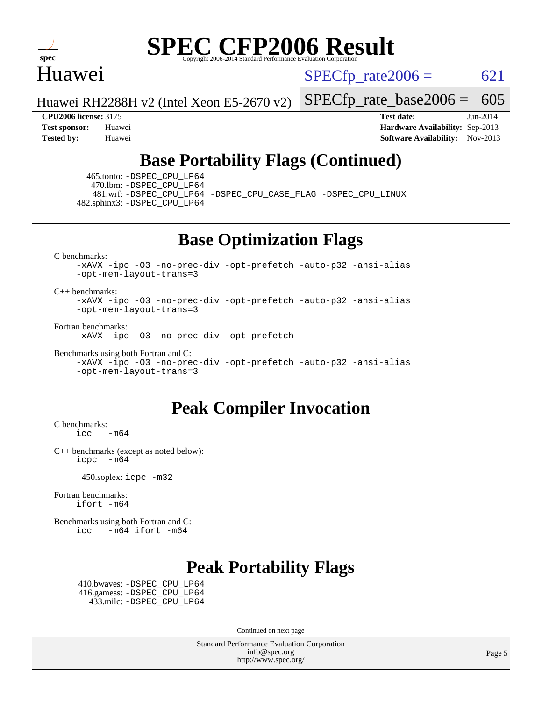

#### Huawei

 $SPECTp\_rate2006 = 621$ 

Huawei RH2288H v2 (Intel Xeon E5-2670 v2)

[SPECfp\\_rate\\_base2006 =](http://www.spec.org/auto/cpu2006/Docs/result-fields.html#SPECfpratebase2006) 605

**[CPU2006 license:](http://www.spec.org/auto/cpu2006/Docs/result-fields.html#CPU2006license)** 3175 **[Test date:](http://www.spec.org/auto/cpu2006/Docs/result-fields.html#Testdate)** Jun-2014 **[Test sponsor:](http://www.spec.org/auto/cpu2006/Docs/result-fields.html#Testsponsor)** Huawei **[Hardware Availability:](http://www.spec.org/auto/cpu2006/Docs/result-fields.html#HardwareAvailability)** Sep-2013 **[Tested by:](http://www.spec.org/auto/cpu2006/Docs/result-fields.html#Testedby)** Huawei **[Software Availability:](http://www.spec.org/auto/cpu2006/Docs/result-fields.html#SoftwareAvailability)** Nov-2013

### **[Base Portability Flags \(Continued\)](http://www.spec.org/auto/cpu2006/Docs/result-fields.html#BasePortabilityFlags)**

 465.tonto: [-DSPEC\\_CPU\\_LP64](http://www.spec.org/cpu2006/results/res2014q3/cpu2006-20140628-30050.flags.html#suite_basePORTABILITY465_tonto_DSPEC_CPU_LP64) 470.lbm: [-DSPEC\\_CPU\\_LP64](http://www.spec.org/cpu2006/results/res2014q3/cpu2006-20140628-30050.flags.html#suite_basePORTABILITY470_lbm_DSPEC_CPU_LP64)

 481.wrf: [-DSPEC\\_CPU\\_LP64](http://www.spec.org/cpu2006/results/res2014q3/cpu2006-20140628-30050.flags.html#suite_basePORTABILITY481_wrf_DSPEC_CPU_LP64) [-DSPEC\\_CPU\\_CASE\\_FLAG](http://www.spec.org/cpu2006/results/res2014q3/cpu2006-20140628-30050.flags.html#b481.wrf_baseCPORTABILITY_DSPEC_CPU_CASE_FLAG) [-DSPEC\\_CPU\\_LINUX](http://www.spec.org/cpu2006/results/res2014q3/cpu2006-20140628-30050.flags.html#b481.wrf_baseCPORTABILITY_DSPEC_CPU_LINUX) 482.sphinx3: [-DSPEC\\_CPU\\_LP64](http://www.spec.org/cpu2006/results/res2014q3/cpu2006-20140628-30050.flags.html#suite_basePORTABILITY482_sphinx3_DSPEC_CPU_LP64)

**[Base Optimization Flags](http://www.spec.org/auto/cpu2006/Docs/result-fields.html#BaseOptimizationFlags)**

[C benchmarks](http://www.spec.org/auto/cpu2006/Docs/result-fields.html#Cbenchmarks):

[-xAVX](http://www.spec.org/cpu2006/results/res2014q3/cpu2006-20140628-30050.flags.html#user_CCbase_f-xAVX) [-ipo](http://www.spec.org/cpu2006/results/res2014q3/cpu2006-20140628-30050.flags.html#user_CCbase_f-ipo) [-O3](http://www.spec.org/cpu2006/results/res2014q3/cpu2006-20140628-30050.flags.html#user_CCbase_f-O3) [-no-prec-div](http://www.spec.org/cpu2006/results/res2014q3/cpu2006-20140628-30050.flags.html#user_CCbase_f-no-prec-div) [-opt-prefetch](http://www.spec.org/cpu2006/results/res2014q3/cpu2006-20140628-30050.flags.html#user_CCbase_f-opt-prefetch) [-auto-p32](http://www.spec.org/cpu2006/results/res2014q3/cpu2006-20140628-30050.flags.html#user_CCbase_f-auto-p32) [-ansi-alias](http://www.spec.org/cpu2006/results/res2014q3/cpu2006-20140628-30050.flags.html#user_CCbase_f-ansi-alias) [-opt-mem-layout-trans=3](http://www.spec.org/cpu2006/results/res2014q3/cpu2006-20140628-30050.flags.html#user_CCbase_f-opt-mem-layout-trans_a7b82ad4bd7abf52556d4961a2ae94d5)

[C++ benchmarks:](http://www.spec.org/auto/cpu2006/Docs/result-fields.html#CXXbenchmarks)

[-xAVX](http://www.spec.org/cpu2006/results/res2014q3/cpu2006-20140628-30050.flags.html#user_CXXbase_f-xAVX) [-ipo](http://www.spec.org/cpu2006/results/res2014q3/cpu2006-20140628-30050.flags.html#user_CXXbase_f-ipo) [-O3](http://www.spec.org/cpu2006/results/res2014q3/cpu2006-20140628-30050.flags.html#user_CXXbase_f-O3) [-no-prec-div](http://www.spec.org/cpu2006/results/res2014q3/cpu2006-20140628-30050.flags.html#user_CXXbase_f-no-prec-div) [-opt-prefetch](http://www.spec.org/cpu2006/results/res2014q3/cpu2006-20140628-30050.flags.html#user_CXXbase_f-opt-prefetch) [-auto-p32](http://www.spec.org/cpu2006/results/res2014q3/cpu2006-20140628-30050.flags.html#user_CXXbase_f-auto-p32) [-ansi-alias](http://www.spec.org/cpu2006/results/res2014q3/cpu2006-20140628-30050.flags.html#user_CXXbase_f-ansi-alias) [-opt-mem-layout-trans=3](http://www.spec.org/cpu2006/results/res2014q3/cpu2006-20140628-30050.flags.html#user_CXXbase_f-opt-mem-layout-trans_a7b82ad4bd7abf52556d4961a2ae94d5)

[Fortran benchmarks](http://www.spec.org/auto/cpu2006/Docs/result-fields.html#Fortranbenchmarks):

[-xAVX](http://www.spec.org/cpu2006/results/res2014q3/cpu2006-20140628-30050.flags.html#user_FCbase_f-xAVX) [-ipo](http://www.spec.org/cpu2006/results/res2014q3/cpu2006-20140628-30050.flags.html#user_FCbase_f-ipo) [-O3](http://www.spec.org/cpu2006/results/res2014q3/cpu2006-20140628-30050.flags.html#user_FCbase_f-O3) [-no-prec-div](http://www.spec.org/cpu2006/results/res2014q3/cpu2006-20140628-30050.flags.html#user_FCbase_f-no-prec-div) [-opt-prefetch](http://www.spec.org/cpu2006/results/res2014q3/cpu2006-20140628-30050.flags.html#user_FCbase_f-opt-prefetch)

[Benchmarks using both Fortran and C](http://www.spec.org/auto/cpu2006/Docs/result-fields.html#BenchmarksusingbothFortranandC):

[-xAVX](http://www.spec.org/cpu2006/results/res2014q3/cpu2006-20140628-30050.flags.html#user_CC_FCbase_f-xAVX) [-ipo](http://www.spec.org/cpu2006/results/res2014q3/cpu2006-20140628-30050.flags.html#user_CC_FCbase_f-ipo) [-O3](http://www.spec.org/cpu2006/results/res2014q3/cpu2006-20140628-30050.flags.html#user_CC_FCbase_f-O3) [-no-prec-div](http://www.spec.org/cpu2006/results/res2014q3/cpu2006-20140628-30050.flags.html#user_CC_FCbase_f-no-prec-div) [-opt-prefetch](http://www.spec.org/cpu2006/results/res2014q3/cpu2006-20140628-30050.flags.html#user_CC_FCbase_f-opt-prefetch) [-auto-p32](http://www.spec.org/cpu2006/results/res2014q3/cpu2006-20140628-30050.flags.html#user_CC_FCbase_f-auto-p32) [-ansi-alias](http://www.spec.org/cpu2006/results/res2014q3/cpu2006-20140628-30050.flags.html#user_CC_FCbase_f-ansi-alias) [-opt-mem-layout-trans=3](http://www.spec.org/cpu2006/results/res2014q3/cpu2006-20140628-30050.flags.html#user_CC_FCbase_f-opt-mem-layout-trans_a7b82ad4bd7abf52556d4961a2ae94d5)

#### **[Peak Compiler Invocation](http://www.spec.org/auto/cpu2006/Docs/result-fields.html#PeakCompilerInvocation)**

[C benchmarks](http://www.spec.org/auto/cpu2006/Docs/result-fields.html#Cbenchmarks):  $\text{icc}$   $-\text{m64}$ 

[C++ benchmarks \(except as noted below\):](http://www.spec.org/auto/cpu2006/Docs/result-fields.html#CXXbenchmarksexceptasnotedbelow) [icpc -m64](http://www.spec.org/cpu2006/results/res2014q3/cpu2006-20140628-30050.flags.html#user_CXXpeak_intel_icpc_64bit_bedb90c1146cab66620883ef4f41a67e)

450.soplex: [icpc -m32](http://www.spec.org/cpu2006/results/res2014q3/cpu2006-20140628-30050.flags.html#user_peakCXXLD450_soplex_intel_icpc_4e5a5ef1a53fd332b3c49e69c3330699)

[Fortran benchmarks](http://www.spec.org/auto/cpu2006/Docs/result-fields.html#Fortranbenchmarks): [ifort -m64](http://www.spec.org/cpu2006/results/res2014q3/cpu2006-20140628-30050.flags.html#user_FCpeak_intel_ifort_64bit_ee9d0fb25645d0210d97eb0527dcc06e)

[Benchmarks using both Fortran and C](http://www.spec.org/auto/cpu2006/Docs/result-fields.html#BenchmarksusingbothFortranandC): [icc -m64](http://www.spec.org/cpu2006/results/res2014q3/cpu2006-20140628-30050.flags.html#user_CC_FCpeak_intel_icc_64bit_0b7121f5ab7cfabee23d88897260401c) [ifort -m64](http://www.spec.org/cpu2006/results/res2014q3/cpu2006-20140628-30050.flags.html#user_CC_FCpeak_intel_ifort_64bit_ee9d0fb25645d0210d97eb0527dcc06e)

### **[Peak Portability Flags](http://www.spec.org/auto/cpu2006/Docs/result-fields.html#PeakPortabilityFlags)**

 410.bwaves: [-DSPEC\\_CPU\\_LP64](http://www.spec.org/cpu2006/results/res2014q3/cpu2006-20140628-30050.flags.html#suite_peakPORTABILITY410_bwaves_DSPEC_CPU_LP64) 416.gamess: [-DSPEC\\_CPU\\_LP64](http://www.spec.org/cpu2006/results/res2014q3/cpu2006-20140628-30050.flags.html#suite_peakPORTABILITY416_gamess_DSPEC_CPU_LP64) 433.milc: [-DSPEC\\_CPU\\_LP64](http://www.spec.org/cpu2006/results/res2014q3/cpu2006-20140628-30050.flags.html#suite_peakPORTABILITY433_milc_DSPEC_CPU_LP64)

Continued on next page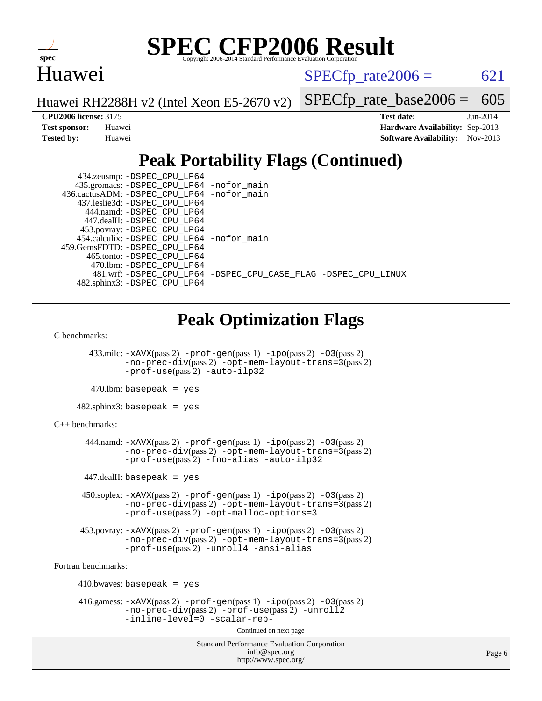

#### Huawei

 $SPECTp\_rate2006 = 621$ 

Huawei RH2288H v2 (Intel Xeon E5-2670 v2)

[SPECfp\\_rate\\_base2006 =](http://www.spec.org/auto/cpu2006/Docs/result-fields.html#SPECfpratebase2006) 605

**[CPU2006 license:](http://www.spec.org/auto/cpu2006/Docs/result-fields.html#CPU2006license)** 3175 **[Test date:](http://www.spec.org/auto/cpu2006/Docs/result-fields.html#Testdate)** Jun-2014 **[Test sponsor:](http://www.spec.org/auto/cpu2006/Docs/result-fields.html#Testsponsor)** Huawei **[Hardware Availability:](http://www.spec.org/auto/cpu2006/Docs/result-fields.html#HardwareAvailability)** Sep-2013 **[Tested by:](http://www.spec.org/auto/cpu2006/Docs/result-fields.html#Testedby)** Huawei **[Software Availability:](http://www.spec.org/auto/cpu2006/Docs/result-fields.html#SoftwareAvailability)** Nov-2013

### **[Peak Portability Flags \(Continued\)](http://www.spec.org/auto/cpu2006/Docs/result-fields.html#PeakPortabilityFlags)**

| 434.zeusmp: -DSPEC_CPU_LP64                                    |  |
|----------------------------------------------------------------|--|
| 435.gromacs: -DSPEC_CPU_LP64 -nofor_main                       |  |
| 436.cactusADM: - DSPEC CPU LP64 - nofor main                   |  |
| 437.leslie3d: -DSPEC CPU LP64                                  |  |
| 444.namd: -DSPEC CPU LP64                                      |  |
| 447.dealII: -DSPEC CPU LP64                                    |  |
| 453.povray: -DSPEC_CPU_LP64                                    |  |
| 454.calculix: -DSPEC CPU LP64 -nofor main                      |  |
| 459.GemsFDTD: -DSPEC CPU LP64                                  |  |
| 465.tonto: -DSPEC CPU LP64                                     |  |
| 470.1bm: - DSPEC CPU LP64                                      |  |
| 481.wrf: -DSPEC CPU_LP64 -DSPEC_CPU_CASE_FLAG -DSPEC_CPU_LINUX |  |
| 482.sphinx3: -DSPEC CPU LP64                                   |  |

### **[Peak Optimization Flags](http://www.spec.org/auto/cpu2006/Docs/result-fields.html#PeakOptimizationFlags)**

```
C benchmarks:
```
 433.milc: [-xAVX](http://www.spec.org/cpu2006/results/res2014q3/cpu2006-20140628-30050.flags.html#user_peakPASS2_CFLAGSPASS2_LDFLAGS433_milc_f-xAVX)(pass 2) [-prof-gen](http://www.spec.org/cpu2006/results/res2014q3/cpu2006-20140628-30050.flags.html#user_peakPASS1_CFLAGSPASS1_LDFLAGS433_milc_prof_gen_e43856698f6ca7b7e442dfd80e94a8fc)(pass 1) [-ipo](http://www.spec.org/cpu2006/results/res2014q3/cpu2006-20140628-30050.flags.html#user_peakPASS2_CFLAGSPASS2_LDFLAGS433_milc_f-ipo)(pass 2) [-O3](http://www.spec.org/cpu2006/results/res2014q3/cpu2006-20140628-30050.flags.html#user_peakPASS2_CFLAGSPASS2_LDFLAGS433_milc_f-O3)(pass 2) [-no-prec-div](http://www.spec.org/cpu2006/results/res2014q3/cpu2006-20140628-30050.flags.html#user_peakPASS2_CFLAGSPASS2_LDFLAGS433_milc_f-no-prec-div)(pass 2) [-opt-mem-layout-trans=3](http://www.spec.org/cpu2006/results/res2014q3/cpu2006-20140628-30050.flags.html#user_peakPASS2_CFLAGS433_milc_f-opt-mem-layout-trans_a7b82ad4bd7abf52556d4961a2ae94d5)(pass 2) [-prof-use](http://www.spec.org/cpu2006/results/res2014q3/cpu2006-20140628-30050.flags.html#user_peakPASS2_CFLAGSPASS2_LDFLAGS433_milc_prof_use_bccf7792157ff70d64e32fe3e1250b55)(pass 2) [-auto-ilp32](http://www.spec.org/cpu2006/results/res2014q3/cpu2006-20140628-30050.flags.html#user_peakCOPTIMIZE433_milc_f-auto-ilp32)

```
470.lbm: basepeak = yes
```
482.sphinx3: basepeak = yes

```
C++ benchmarks:
```
 444.namd: [-xAVX](http://www.spec.org/cpu2006/results/res2014q3/cpu2006-20140628-30050.flags.html#user_peakPASS2_CXXFLAGSPASS2_LDFLAGS444_namd_f-xAVX)(pass 2) [-prof-gen](http://www.spec.org/cpu2006/results/res2014q3/cpu2006-20140628-30050.flags.html#user_peakPASS1_CXXFLAGSPASS1_LDFLAGS444_namd_prof_gen_e43856698f6ca7b7e442dfd80e94a8fc)(pass 1) [-ipo](http://www.spec.org/cpu2006/results/res2014q3/cpu2006-20140628-30050.flags.html#user_peakPASS2_CXXFLAGSPASS2_LDFLAGS444_namd_f-ipo)(pass 2) [-O3](http://www.spec.org/cpu2006/results/res2014q3/cpu2006-20140628-30050.flags.html#user_peakPASS2_CXXFLAGSPASS2_LDFLAGS444_namd_f-O3)(pass 2) [-no-prec-div](http://www.spec.org/cpu2006/results/res2014q3/cpu2006-20140628-30050.flags.html#user_peakPASS2_CXXFLAGSPASS2_LDFLAGS444_namd_f-no-prec-div)(pass 2) [-opt-mem-layout-trans=3](http://www.spec.org/cpu2006/results/res2014q3/cpu2006-20140628-30050.flags.html#user_peakPASS2_CXXFLAGS444_namd_f-opt-mem-layout-trans_a7b82ad4bd7abf52556d4961a2ae94d5)(pass 2) [-prof-use](http://www.spec.org/cpu2006/results/res2014q3/cpu2006-20140628-30050.flags.html#user_peakPASS2_CXXFLAGSPASS2_LDFLAGS444_namd_prof_use_bccf7792157ff70d64e32fe3e1250b55)(pass 2) [-fno-alias](http://www.spec.org/cpu2006/results/res2014q3/cpu2006-20140628-30050.flags.html#user_peakCXXOPTIMIZE444_namd_f-no-alias_694e77f6c5a51e658e82ccff53a9e63a) [-auto-ilp32](http://www.spec.org/cpu2006/results/res2014q3/cpu2006-20140628-30050.flags.html#user_peakCXXOPTIMIZE444_namd_f-auto-ilp32)

447.dealII: basepeak = yes

 450.soplex: [-xAVX](http://www.spec.org/cpu2006/results/res2014q3/cpu2006-20140628-30050.flags.html#user_peakPASS2_CXXFLAGSPASS2_LDFLAGS450_soplex_f-xAVX)(pass 2) [-prof-gen](http://www.spec.org/cpu2006/results/res2014q3/cpu2006-20140628-30050.flags.html#user_peakPASS1_CXXFLAGSPASS1_LDFLAGS450_soplex_prof_gen_e43856698f6ca7b7e442dfd80e94a8fc)(pass 1) [-ipo](http://www.spec.org/cpu2006/results/res2014q3/cpu2006-20140628-30050.flags.html#user_peakPASS2_CXXFLAGSPASS2_LDFLAGS450_soplex_f-ipo)(pass 2) [-O3](http://www.spec.org/cpu2006/results/res2014q3/cpu2006-20140628-30050.flags.html#user_peakPASS2_CXXFLAGSPASS2_LDFLAGS450_soplex_f-O3)(pass 2) [-no-prec-div](http://www.spec.org/cpu2006/results/res2014q3/cpu2006-20140628-30050.flags.html#user_peakPASS2_CXXFLAGSPASS2_LDFLAGS450_soplex_f-no-prec-div)(pass 2) [-opt-mem-layout-trans=3](http://www.spec.org/cpu2006/results/res2014q3/cpu2006-20140628-30050.flags.html#user_peakPASS2_CXXFLAGS450_soplex_f-opt-mem-layout-trans_a7b82ad4bd7abf52556d4961a2ae94d5)(pass 2) [-prof-use](http://www.spec.org/cpu2006/results/res2014q3/cpu2006-20140628-30050.flags.html#user_peakPASS2_CXXFLAGSPASS2_LDFLAGS450_soplex_prof_use_bccf7792157ff70d64e32fe3e1250b55)(pass 2) [-opt-malloc-options=3](http://www.spec.org/cpu2006/results/res2014q3/cpu2006-20140628-30050.flags.html#user_peakOPTIMIZE450_soplex_f-opt-malloc-options_13ab9b803cf986b4ee62f0a5998c2238)

 453.povray: [-xAVX](http://www.spec.org/cpu2006/results/res2014q3/cpu2006-20140628-30050.flags.html#user_peakPASS2_CXXFLAGSPASS2_LDFLAGS453_povray_f-xAVX)(pass 2) [-prof-gen](http://www.spec.org/cpu2006/results/res2014q3/cpu2006-20140628-30050.flags.html#user_peakPASS1_CXXFLAGSPASS1_LDFLAGS453_povray_prof_gen_e43856698f6ca7b7e442dfd80e94a8fc)(pass 1) [-ipo](http://www.spec.org/cpu2006/results/res2014q3/cpu2006-20140628-30050.flags.html#user_peakPASS2_CXXFLAGSPASS2_LDFLAGS453_povray_f-ipo)(pass 2) [-O3](http://www.spec.org/cpu2006/results/res2014q3/cpu2006-20140628-30050.flags.html#user_peakPASS2_CXXFLAGSPASS2_LDFLAGS453_povray_f-O3)(pass 2) [-no-prec-div](http://www.spec.org/cpu2006/results/res2014q3/cpu2006-20140628-30050.flags.html#user_peakPASS2_CXXFLAGSPASS2_LDFLAGS453_povray_f-no-prec-div)(pass 2) [-opt-mem-layout-trans=3](http://www.spec.org/cpu2006/results/res2014q3/cpu2006-20140628-30050.flags.html#user_peakPASS2_CXXFLAGS453_povray_f-opt-mem-layout-trans_a7b82ad4bd7abf52556d4961a2ae94d5)(pass 2) [-prof-use](http://www.spec.org/cpu2006/results/res2014q3/cpu2006-20140628-30050.flags.html#user_peakPASS2_CXXFLAGSPASS2_LDFLAGS453_povray_prof_use_bccf7792157ff70d64e32fe3e1250b55)(pass 2) [-unroll4](http://www.spec.org/cpu2006/results/res2014q3/cpu2006-20140628-30050.flags.html#user_peakCXXOPTIMIZE453_povray_f-unroll_4e5e4ed65b7fd20bdcd365bec371b81f) [-ansi-alias](http://www.spec.org/cpu2006/results/res2014q3/cpu2006-20140628-30050.flags.html#user_peakCXXOPTIMIZE453_povray_f-ansi-alias)

[Fortran benchmarks](http://www.spec.org/auto/cpu2006/Docs/result-fields.html#Fortranbenchmarks):

```
410.bwaves: basepeak = yes 416.gamess: -xAVX(pass 2) -prof-gen(pass 1) -ipo(pass 2) -O3(pass 2)
-no-prec-div(pass 2) -prof-use(pass 2) -unroll2
-inline-level=0 -scalar-rep-
```
Continued on next page